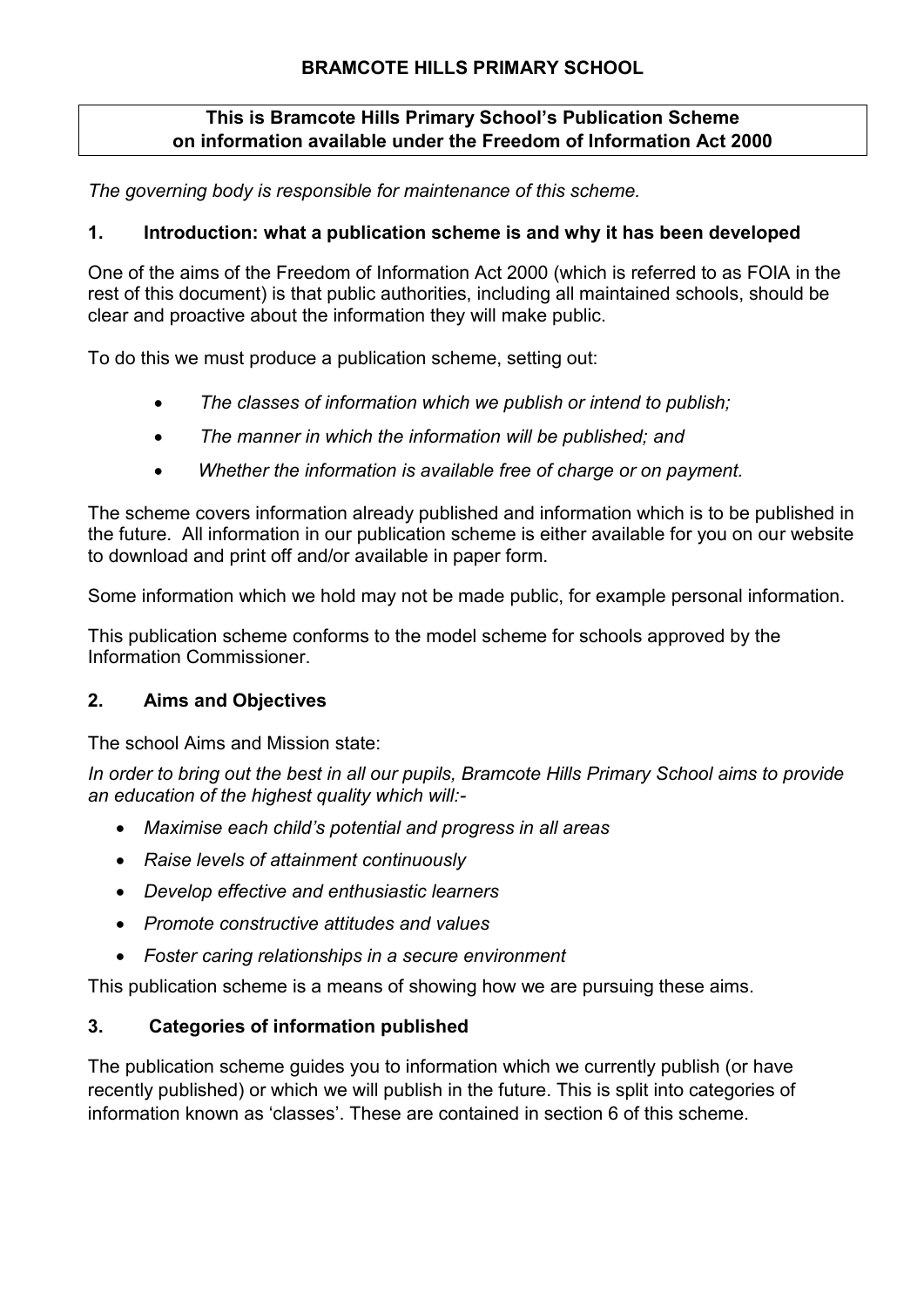# **BRAMCOTE HILLS PRIMARY SCHOOL**

#### **This is Bramcote Hills Primary School's Publication Scheme on information available under the Freedom of Information Act 2000**

*The governing body is responsible for maintenance of this scheme.*

#### **1. Introduction: what a publication scheme is and why it has been developed**

One of the aims of the Freedom of Information Act 2000 (which is referred to as FOIA in the rest of this document) is that public authorities, including all maintained schools, should be clear and proactive about the information they will make public.

To do this we must produce a publication scheme, setting out:

- *The classes of information which we publish or intend to publish;*
- *The manner in which the information will be published; and*
- *Whether the information is available free of charge or on payment.*

The scheme covers information already published and information which is to be published in the future. All information in our publication scheme is either available for you on our website to download and print off and/or available in paper form.

Some information which we hold may not be made public, for example personal information.

This publication scheme conforms to the model scheme for schools approved by the Information Commissioner.

#### **2. Aims and Objectives**

The school Aims and Mission state:

*In order to bring out the best in all our pupils, Bramcote Hills Primary School aims to provide an education of the highest quality which will:-*

- *Maximise each child's potential and progress in all areas*
- *Raise levels of attainment continuously*
- *Develop effective and enthusiastic learners*
- *Promote constructive attitudes and values*
- *Foster caring relationships in a secure environment*

This publication scheme is a means of showing how we are pursuing these aims.

# **3. Categories of information published**

The publication scheme guides you to information which we currently publish (or have recently published) or which we will publish in the future. This is split into categories of information known as 'classes'. These are contained in section 6 of this scheme.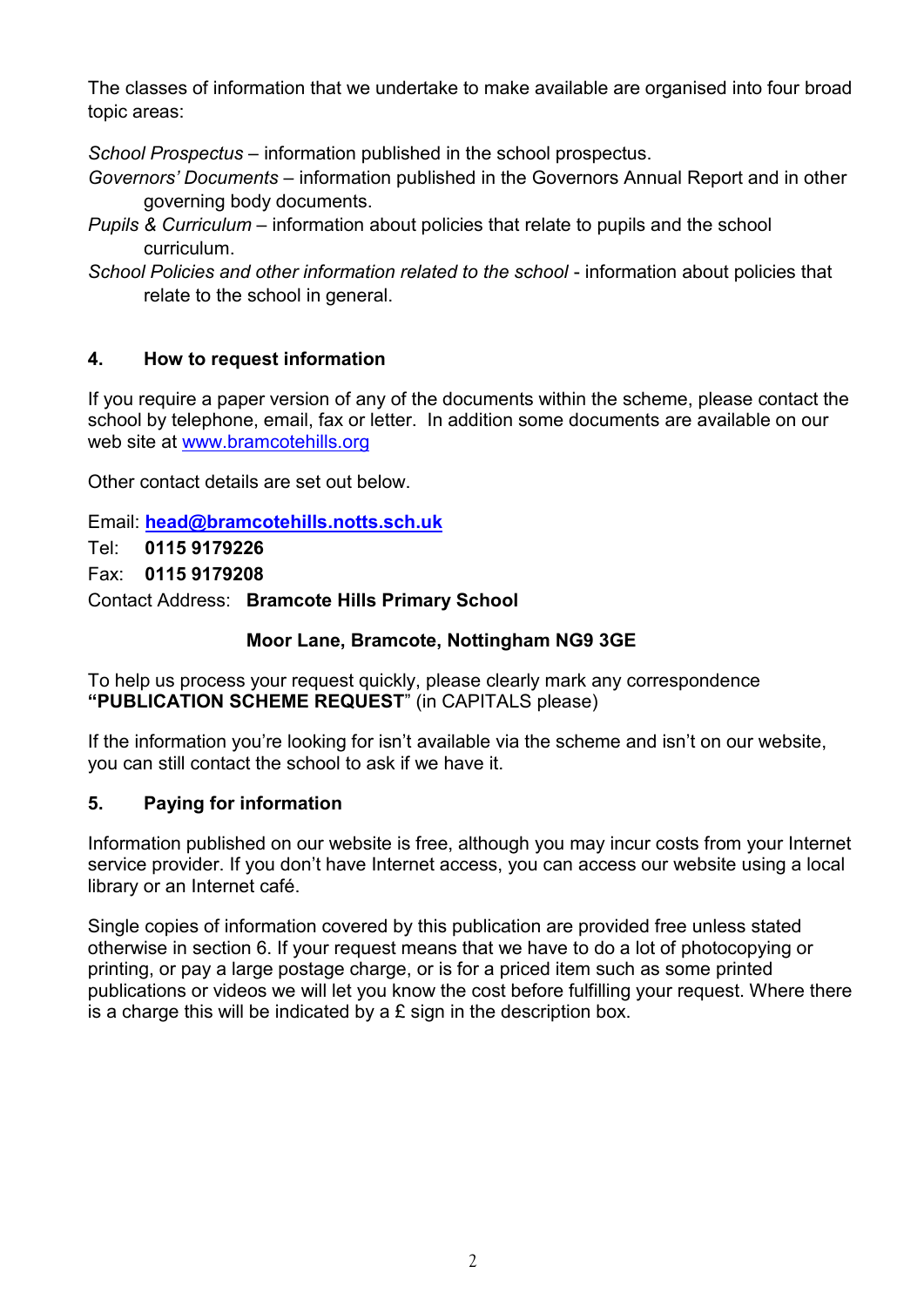The classes of information that we undertake to make available are organised into four broad topic areas:

*School Prospectus* – information published in the school prospectus.

- *Governors' Documents* information published in the Governors Annual Report and in other governing body documents.
- *Pupils & Curriculum* information about policies that relate to pupils and the school curriculum.
- *School Policies and other information related to the school* information about policies that relate to the school in general.

# **4. How to request information**

If you require a paper version of any of the documents within the scheme, please contact the school by telephone, email, fax or letter. In addition some documents are available on our web site at [www.bramcotehills.org](http://www.bramcotehills.org/)

Other contact details are set out below.

Email: **[head@bramcotehills.notts.sch.uk](mailto:head@bramcotehills.notts.sch.uk)** Tel: **0115 9179226** Fax: **0115 9179208**

Contact Address: **Bramcote Hills Primary School**

# **Moor Lane, Bramcote, Nottingham NG9 3GE**

To help us process your request quickly, please clearly mark any correspondence **"PUBLICATION SCHEME REQUEST**" (in CAPITALS please)

If the information you're looking for isn't available via the scheme and isn't on our website, you can still contact the school to ask if we have it.

# **5. Paying for information**

Information published on our website is free, although you may incur costs from your Internet service provider. If you don't have Internet access, you can access our website using a local library or an Internet café.

Single copies of information covered by this publication are provided free unless stated otherwise in section 6. If your request means that we have to do a lot of photocopying or printing, or pay a large postage charge, or is for a priced item such as some printed publications or videos we will let you know the cost before fulfilling your request. Where there is a charge this will be indicated by a  $E$  sign in the description box.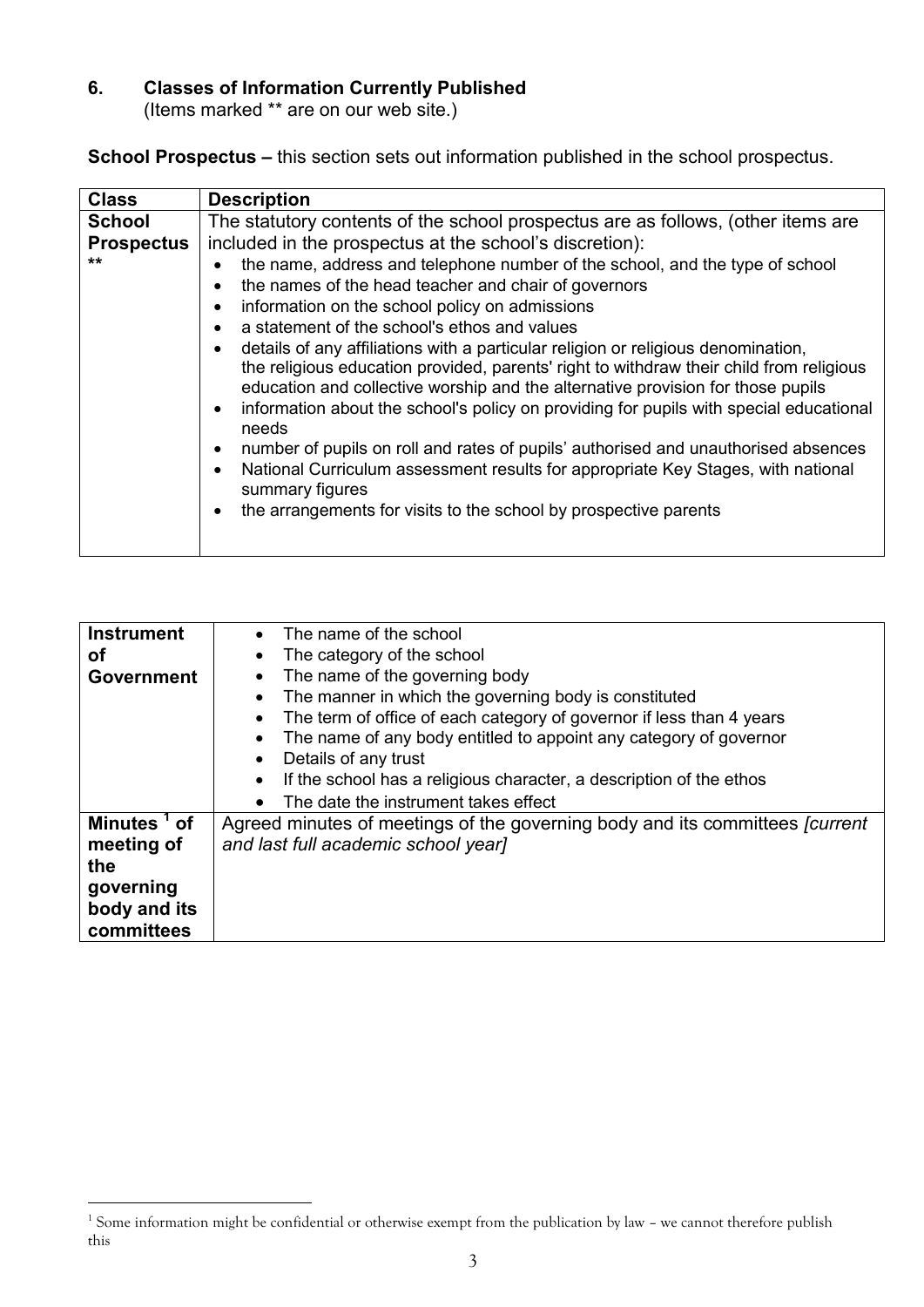# **6. Classes of Information Currently Published**

(Items marked \*\* are on our web site.)

**School Prospectus –** this section sets out information published in the school prospectus.

| <b>Class</b>      | <b>Description</b>                                                                                                                                                                                                                                                                                                                                                                                                                                                                                                                                                                                                                                                                                                                                                                                                                                                                                                                |
|-------------------|-----------------------------------------------------------------------------------------------------------------------------------------------------------------------------------------------------------------------------------------------------------------------------------------------------------------------------------------------------------------------------------------------------------------------------------------------------------------------------------------------------------------------------------------------------------------------------------------------------------------------------------------------------------------------------------------------------------------------------------------------------------------------------------------------------------------------------------------------------------------------------------------------------------------------------------|
| <b>School</b>     | The statutory contents of the school prospectus are as follows, (other items are                                                                                                                                                                                                                                                                                                                                                                                                                                                                                                                                                                                                                                                                                                                                                                                                                                                  |
| <b>Prospectus</b> | included in the prospectus at the school's discretion):                                                                                                                                                                                                                                                                                                                                                                                                                                                                                                                                                                                                                                                                                                                                                                                                                                                                           |
| $***$             | the name, address and telephone number of the school, and the type of school<br>the names of the head teacher and chair of governors<br>information on the school policy on admissions<br>$\bullet$<br>a statement of the school's ethos and values<br>$\bullet$<br>details of any affiliations with a particular religion or religious denomination,<br>the religious education provided, parents' right to withdraw their child from religious<br>education and collective worship and the alternative provision for those pupils<br>information about the school's policy on providing for pupils with special educational<br>$\bullet$<br>needs<br>number of pupils on roll and rates of pupils' authorised and unauthorised absences<br>National Curriculum assessment results for appropriate Key Stages, with national<br>$\bullet$<br>summary figures<br>the arrangements for visits to the school by prospective parents |

| <b>Instrument</b>       | The name of the school                                                              |
|-------------------------|-------------------------------------------------------------------------------------|
| οf                      | The category of the school                                                          |
| <b>Government</b>       | The name of the governing body                                                      |
|                         | The manner in which the governing body is constituted                               |
|                         | The term of office of each category of governor if less than 4 years                |
|                         | The name of any body entitled to appoint any category of governor                   |
|                         | Details of any trust                                                                |
|                         | If the school has a religious character, a description of the ethos                 |
|                         | The date the instrument takes effect                                                |
| Minutes <sup>1</sup> of | Agreed minutes of meetings of the governing body and its committees <i>fourrent</i> |
| meeting of              | and last full academic school year]                                                 |
| the                     |                                                                                     |
| governing               |                                                                                     |
| body and its            |                                                                                     |
| committees              |                                                                                     |

<u>.</u>

<sup>&</sup>lt;sup>1</sup> Some information might be confidential or otherwise exempt from the publication by law - we cannot therefore publish this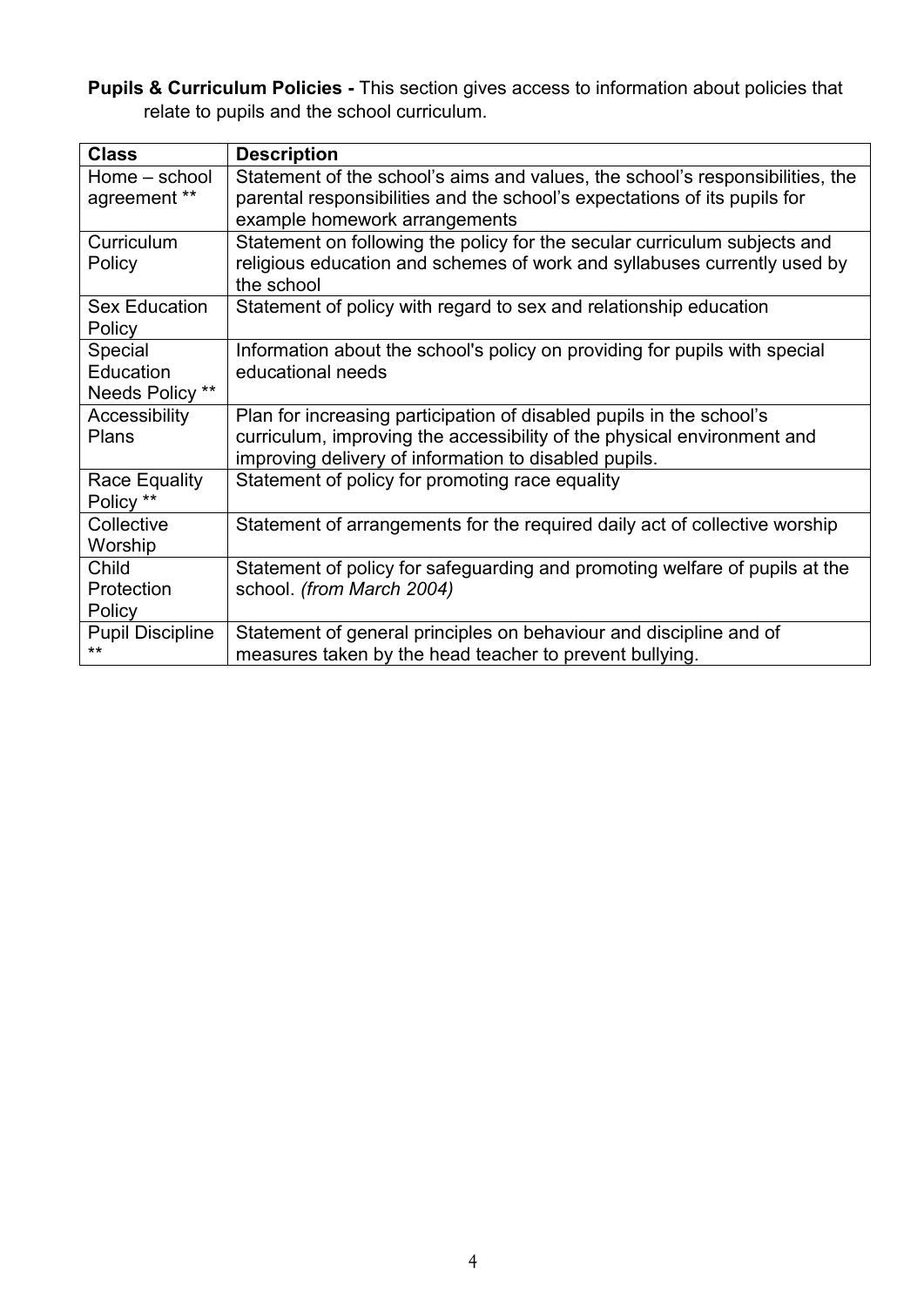**Pupils & Curriculum Policies -** This section gives access to information about policies that relate to pupils and the school curriculum.

| <b>Class</b>            | <b>Description</b>                                                            |
|-------------------------|-------------------------------------------------------------------------------|
| Home – school           | Statement of the school's aims and values, the school's responsibilities, the |
| agreement **            | parental responsibilities and the school's expectations of its pupils for     |
|                         | example homework arrangements                                                 |
| Curriculum              | Statement on following the policy for the secular curriculum subjects and     |
| Policy                  | religious education and schemes of work and syllabuses currently used by      |
|                         | the school                                                                    |
| <b>Sex Education</b>    | Statement of policy with regard to sex and relationship education             |
| Policy                  |                                                                               |
| Special                 | Information about the school's policy on providing for pupils with special    |
| Education               | educational needs                                                             |
| Needs Policy **         |                                                                               |
| Accessibility           | Plan for increasing participation of disabled pupils in the school's          |
| <b>Plans</b>            | curriculum, improving the accessibility of the physical environment and       |
|                         | improving delivery of information to disabled pupils.                         |
| Race Equality           | Statement of policy for promoting race equality                               |
| Policy **               |                                                                               |
| Collective              | Statement of arrangements for the required daily act of collective worship    |
| Worship                 |                                                                               |
| Child                   | Statement of policy for safeguarding and promoting welfare of pupils at the   |
| Protection              | school. (from March 2004)                                                     |
| Policy                  |                                                                               |
| <b>Pupil Discipline</b> | Statement of general principles on behaviour and discipline and of            |
| **                      | measures taken by the head teacher to prevent bullying.                       |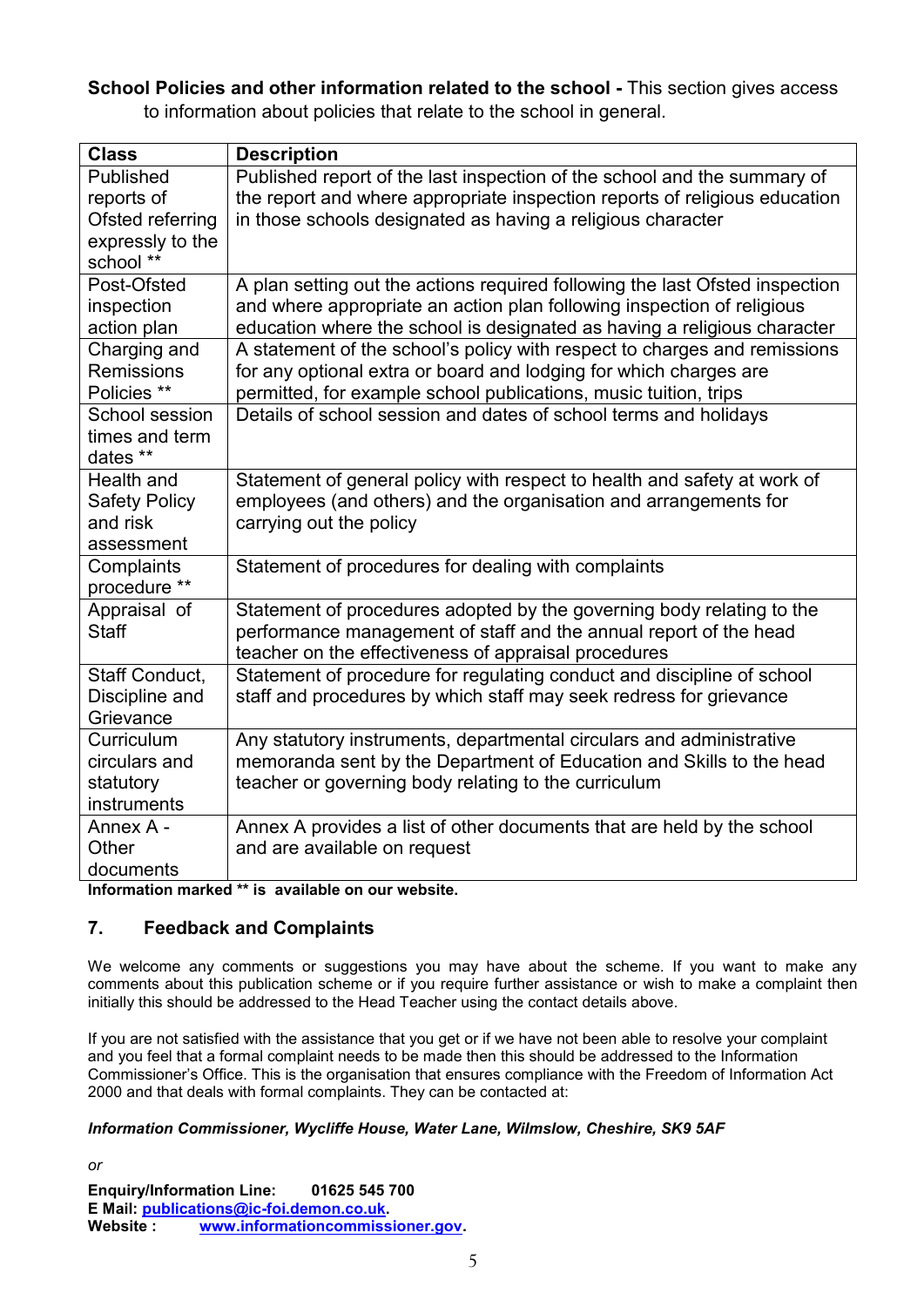**School Policies and other information related to the school -** This section gives access to information about policies that relate to the school in general.

| <b>Class</b>         | <b>Description</b>                                                           |
|----------------------|------------------------------------------------------------------------------|
| Published            | Published report of the last inspection of the school and the summary of     |
| reports of           | the report and where appropriate inspection reports of religious education   |
| Ofsted referring     | in those schools designated as having a religious character                  |
| expressly to the     |                                                                              |
| school **            |                                                                              |
| Post-Ofsted          | A plan setting out the actions required following the last Ofsted inspection |
| inspection           | and where appropriate an action plan following inspection of religious       |
| action plan          | education where the school is designated as having a religious character     |
| Charging and         | A statement of the school's policy with respect to charges and remissions    |
| <b>Remissions</b>    | for any optional extra or board and lodging for which charges are            |
| Policies **          | permitted, for example school publications, music tuition, trips             |
| School session       | Details of school session and dates of school terms and holidays             |
| times and term       |                                                                              |
| dates **             |                                                                              |
| Health and           | Statement of general policy with respect to health and safety at work of     |
| <b>Safety Policy</b> | employees (and others) and the organisation and arrangements for             |
| and risk             | carrying out the policy                                                      |
| assessment           |                                                                              |
| Complaints           | Statement of procedures for dealing with complaints                          |
| procedure **         |                                                                              |
| Appraisal of         | Statement of procedures adopted by the governing body relating to the        |
| <b>Staff</b>         | performance management of staff and the annual report of the head            |
|                      | teacher on the effectiveness of appraisal procedures                         |
| Staff Conduct,       | Statement of procedure for regulating conduct and discipline of school       |
| Discipline and       | staff and procedures by which staff may seek redress for grievance           |
| Grievance            |                                                                              |
| Curriculum           | Any statutory instruments, departmental circulars and administrative         |
| circulars and        | memoranda sent by the Department of Education and Skills to the head         |
| statutory            | teacher or governing body relating to the curriculum                         |
| instruments          |                                                                              |
| Annex A -            | Annex A provides a list of other documents that are held by the school       |
| Other                | and are available on request                                                 |
| documents            |                                                                              |

**Information marked \*\* is available on our website.** 

#### **7. Feedback and Complaints**

*or*

We welcome any comments or suggestions you may have about the scheme. If you want to make any comments about this publication scheme or if you require further assistance or wish to make a complaint then initially this should be addressed to the Head Teacher using the contact details above.

If you are not satisfied with the assistance that you get or if we have not been able to resolve your complaint and you feel that a formal complaint needs to be made then this should be addressed to the Information Commissioner's Office. This is the organisation that ensures compliance with the Freedom of Information Act 2000 and that deals with formal complaints. They can be contacted at:

#### *Information Commissioner, Wycliffe House, Water Lane, Wilmslow, Cheshire, SK9 5AF*

**Enquiry/Information Line: 01625 545 700 E Mail: [publications@ic-foi.demon.co.uk.](mailto:publications@ic-foi.demonco.uk) Website : [www.informationcommissioner.gov.](http://www.informationcommissioner.gov/)**